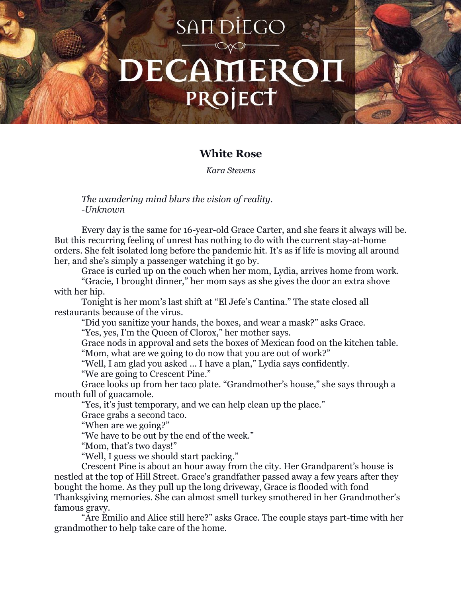## SAIT DIEGO DECAMEROI PROJECT

## **White Rose**

*Kara Stevens*

*The wandering mind blurs the vision of reality. -Unknown*

Every day is the same for 16-year-old Grace Carter, and she fears it always will be. But this recurring feeling of unrest has nothing to do with the current stay-at-home orders. She felt isolated long before the pandemic hit. It's as if life is moving all around her, and she's simply a passenger watching it go by.

Grace is curled up on the couch when her mom, Lydia, arrives home from work.

"Gracie, I brought dinner," her mom says as she gives the door an extra shove with her hip.

Tonight is her mom's last shift at "El Jefe's Cantina." The state closed all restaurants because of the virus.

"Did you sanitize your hands, the boxes, and wear a mask?" asks Grace.

"Yes, yes, I'm the Queen of Clorox," her mother says.

Grace nods in approval and sets the boxes of Mexican food on the kitchen table. "Mom, what are we going to do now that you are out of work?"

"Well, I am glad you asked ... I have a plan," Lydia says confidently.

"We are going to Crescent Pine."

Grace looks up from her taco plate. "Grandmother's house," she says through a mouth full of guacamole.

"Yes, it's just temporary, and we can help clean up the place."

Grace grabs a second taco.

"When are we going?"

"We have to be out by the end of the week."

"Mom, that's two days!"

"Well, I guess we should start packing."

Crescent Pine is about an hour away from the city. Her Grandparent's house is nestled at the top of Hill Street. Grace's grandfather passed away a few years after they bought the home. As they pull up the long driveway, Grace is flooded with fond Thanksgiving memories. She can almost smell turkey smothered in her Grandmother's famous gravy.

"Are Emilio and Alice still here?" asks Grace. The couple stays part-time with her grandmother to help take care of the home.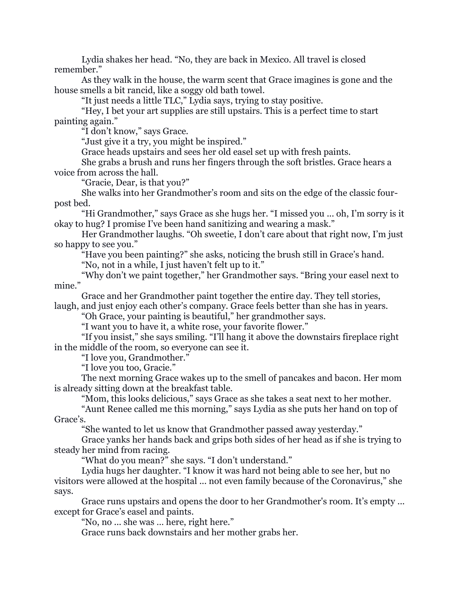Lydia shakes her head. "No, they are back in Mexico. All travel is closed remember."

As they walk in the house, the warm scent that Grace imagines is gone and the house smells a bit rancid, like a soggy old bath towel.

"It just needs a little TLC," Lydia says, trying to stay positive.

"Hey, I bet your art supplies are still upstairs. This is a perfect time to start painting again."

"I don't know," says Grace.

"Just give it a try, you might be inspired."

Grace heads upstairs and sees her old easel set up with fresh paints.

She grabs a brush and runs her fingers through the soft bristles. Grace hears a voice from across the hall.

"Gracie, Dear, is that you?"

She walks into her Grandmother's room and sits on the edge of the classic fourpost bed.

"Hi Grandmother," says Grace as she hugs her. "I missed you ... oh, I'm sorry is it okay to hug? I promise I've been hand sanitizing and wearing a mask."

Her Grandmother laughs. "Oh sweetie, I don't care about that right now, I'm just so happy to see you."

"Have you been painting?" she asks, noticing the brush still in Grace's hand.

"No, not in a while, I just haven't felt up to it."

"Why don't we paint together," her Grandmother says. "Bring your easel next to mine."

Grace and her Grandmother paint together the entire day. They tell stories,

laugh, and just enjoy each other's company. Grace feels better than she has in years.

"Oh Grace, your painting is beautiful," her grandmother says.

"I want you to have it, a white rose, your favorite flower."

"If you insist," she says smiling. "I'll hang it above the downstairs fireplace right in the middle of the room, so everyone can see it.

"I love you, Grandmother."

"I love you too, Gracie."

The next morning Grace wakes up to the smell of pancakes and bacon. Her mom is already sitting down at the breakfast table.

"Mom, this looks delicious," says Grace as she takes a seat next to her mother.

"Aunt Renee called me this morning," says Lydia as she puts her hand on top of Grace's.

"She wanted to let us know that Grandmother passed away yesterday."

Grace yanks her hands back and grips both sides of her head as if she is trying to steady her mind from racing.

"What do you mean?" she says. "I don't understand."

Lydia hugs her daughter. "I know it was hard not being able to see her, but no visitors were allowed at the hospital ... not even family because of the Coronavirus," she says.

Grace runs upstairs and opens the door to her Grandmother's room. It's empty ... except for Grace's easel and paints.

"No, no ... she was … here, right here."

Grace runs back downstairs and her mother grabs her.